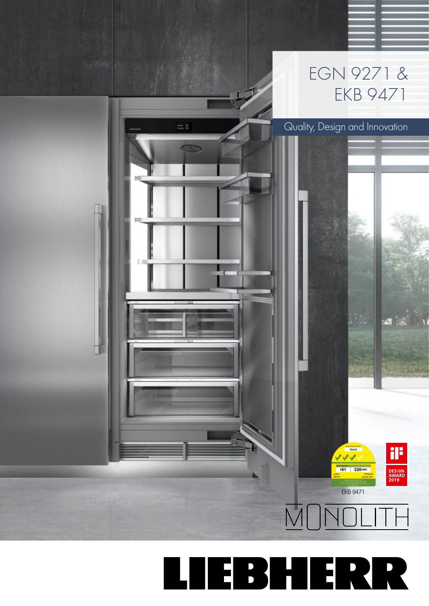

# LIEBHERR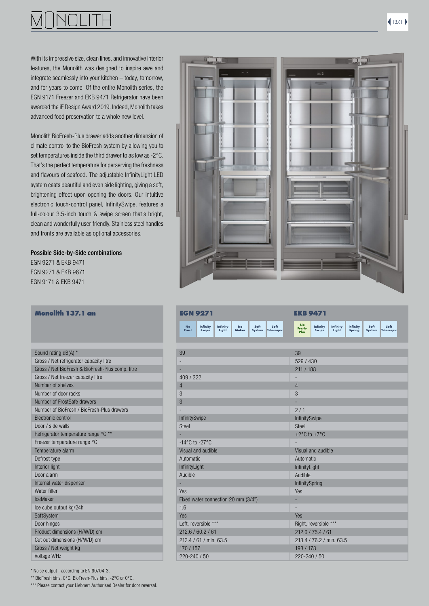

With its impressive size, clean lines, and innovative interior features, the Monolith was designed to inspire awe and integrate seamlessly into your kitchen – today, tomorrow, and for years to come. Of the entire Monolith series, the EGN 9171 Freezer and EKB 9471 Refrigerator have been awarded the iF Design Award 2019. Indeed, Monolith takes advanced food preservation to a whole new level.

Monolith BioFresh-Plus drawer adds another dimension of climate control to the BioFresh system by allowing you to set temperatures inside the third drawer to as low as -2°C. That's the perfect temperature for perserving the freshness and flavours of seafood. The adjustable InfinityLight LED system casts beautiful and even side lighting, giving a soft, brightening effect upon opening the doors. Our intuitive electronic touch-control panel, InfinitySwipe, features a full-colour 3.5-inch touch & swipe screen that's bright, clean and wonderfully user-friendly. Stainless steel handles and fronts are available as optional accessories.

### Possible Side-by-Side combinations

EGN 9271 & EKB 9471 EGN 9271 & EKB 9671 EGN 9171 & EKB 9471

### **Monolith 137.1 cm**

| Sound rating dB(A) *                             |
|--------------------------------------------------|
| Gross / Net refrigerator capacity litre          |
| Gross / Net BioFresh & BioFresh-Plus comp. litre |
| Gross / Net freezer capacity litre               |
| Number of shelves                                |
| Number of door racks                             |
| Number of FrostSafe drawers                      |
| Number of BioFresh / BioFresh-Plus drawers       |
| Electronic control                               |
| Door / side walls                                |
| Refrigerator temperature range °C **             |
| Freezer temperature range °C                     |
| Temperature alarm                                |
| Defrost type                                     |
| Interior light                                   |
| Door alarm                                       |
| Internal water dispenser                         |
| Water filter                                     |
| IceMaker                                         |
| Ice cube output kg/24h                           |
| SoftSystem                                       |
| Door hinges                                      |
| Product dimensions (H/W/D) cm                    |
| Cut out dimensions (H/W/D) cm                    |
| Gross / Net weight kg                            |
| Voltage V/Hz                                     |
|                                                  |

| <b>EGN 9271</b>                                                                                |                    |                                  | <b>EKB 9471</b>          |                          |                           |                       |                    |  |
|------------------------------------------------------------------------------------------------|--------------------|----------------------------------|--------------------------|--------------------------|---------------------------|-----------------------|--------------------|--|
| Infinity<br>Soft<br><b>No</b><br>Infinity<br>Ice<br>Light<br>Maker<br>Swipe<br>Frost<br>System | Soft<br>Telescopic | <b>Bio</b><br>Fresh-<br>Plus     | Infinity<br>Swipe        | <b>Infinity</b><br>Light | <b>Infinity</b><br>Spring | Soft<br><b>System</b> | Soft<br>Telescopic |  |
|                                                                                                |                    |                                  |                          |                          |                           |                       |                    |  |
| 39                                                                                             |                    | 39                               |                          |                          |                           |                       |                    |  |
| L,                                                                                             |                    | 529 / 430                        |                          |                          |                           |                       |                    |  |
| ÷                                                                                              |                    | 211 / 188                        |                          |                          |                           |                       |                    |  |
| 409 / 322                                                                                      |                    | $\overline{\phantom{a}}$         |                          |                          |                           |                       |                    |  |
| $\overline{4}$                                                                                 |                    | $\overline{4}$                   |                          |                          |                           |                       |                    |  |
| 3                                                                                              |                    | 3                                |                          |                          |                           |                       |                    |  |
| 3                                                                                              |                    |                                  |                          |                          |                           |                       |                    |  |
| ÷,                                                                                             |                    | 2/1                              |                          |                          |                           |                       |                    |  |
| InfinitySwipe                                                                                  |                    | InfinitySwipe                    |                          |                          |                           |                       |                    |  |
| <b>Steel</b>                                                                                   |                    | <b>Steel</b>                     |                          |                          |                           |                       |                    |  |
|                                                                                                |                    | +2 $\degree$ C to +7 $\degree$ C |                          |                          |                           |                       |                    |  |
| $-14^{\circ}$ C to $-27^{\circ}$ C                                                             |                    |                                  |                          |                          |                           |                       |                    |  |
| Visual and audible                                                                             |                    |                                  | Visual and audible       |                          |                           |                       |                    |  |
| Automatic                                                                                      |                    | Automatic                        |                          |                          |                           |                       |                    |  |
| InfinityLight                                                                                  |                    | InfinityLight                    |                          |                          |                           |                       |                    |  |
| Audible                                                                                        |                    | Audible                          |                          |                          |                           |                       |                    |  |
| ۰                                                                                              |                    | InfinitySpring                   |                          |                          |                           |                       |                    |  |
| Yes                                                                                            |                    | Yes                              |                          |                          |                           |                       |                    |  |
| Fixed water connection 20 mm (3/4")                                                            |                    |                                  |                          |                          |                           |                       |                    |  |
| 1.6                                                                                            |                    | $\overline{\phantom{a}}$         |                          |                          |                           |                       |                    |  |
| Yes                                                                                            |                    | Yes                              |                          |                          |                           |                       |                    |  |
| Left, reversible ***                                                                           |                    |                                  | Right, reversible ***    |                          |                           |                       |                    |  |
| 212.6 / 60.2 / 61                                                                              |                    |                                  | 212.6 / 75.4 / 61        |                          |                           |                       |                    |  |
| 213.4 / 61 / min. 63.5                                                                         |                    |                                  | 213.4 / 76.2 / min. 63.5 |                          |                           |                       |                    |  |
| 170 / 157                                                                                      |                    | 193 / 178                        |                          |                          |                           |                       |                    |  |
| 220-240 / 50                                                                                   |                    | 220-240 / 50                     |                          |                          |                           |                       |                    |  |

\* Noise output - according to EN 60704-3.

\*\* BioFresh bins, 0°C. BioFresh-Plus bins, -2°C or 0°C.

\*\*\* Please contact your Liebherr Authorised Dealer for door reversal.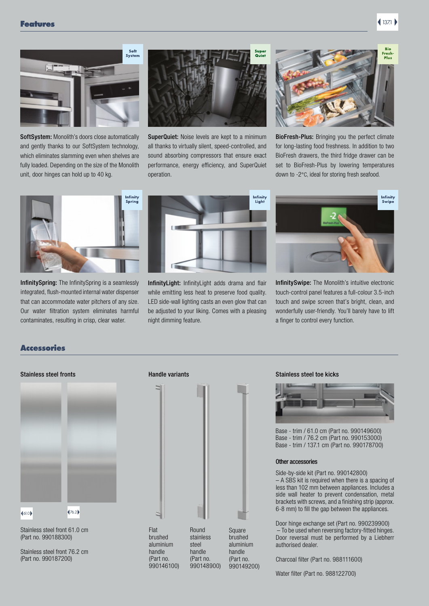

SoftSystem: Monolith's doors close automatically and gently thanks to our SoftSystem technology, which eliminates slamming even when shelves are fully loaded. Depending on the size of the Monolith unit, door hinges can hold up to 40 kg.



SuperQuiet: Noise levels are kept to a minimum all thanks to virtually silent, speed-controlled, and sound absorbing compressors that ensure exact performance, energy efficiency, and SuperQuiet operation.



BioFresh-Plus: Bringing you the perfect climate for long-lasting food freshness. In addition to two BioFresh drawers, the third fridge drawer can be set to BioFresh-Plus by lowering temperatures down to -2°C, ideal for storing fresh seafood.



InfinitySpring: The InfinitySpring is a seamlessly integrated, flush-mounted internal water dispenser that can accommodate water pitchers of any size. Our water filtration system eliminates harmful contaminates, resulting in crisp, clear water.



InfinityLight: InfinityLight adds drama and flair while emitting less heat to preserve food quality. LED side-wall lighting casts an even glow that can be adjusted to your liking. Comes with a pleasing night dimming feature.



InfinitySwipe: The Monolith's intuitive electronic touch-control panel features a full-colour 3.5-inch touch and swipe screen that's bright, clean, and wonderfully user-friendly. You'll barely have to lift a finger to control every function.

### Accessories

### Stainless steel fronts **Handle variants** Handle variants



Stainless steel front 61.0 cm (Part no. 990188300)

Stainless steel front 76.2 cm (Part no. 990187200)



#### Stainless steel toe kicks



Base - trim / 61.0 cm (Part no. 990149600) Base - trim / 76.2 cm (Part no. 990153000) Base - trim / 137.1 cm (Part no. 990178700)

#### Other accessories

Side-by-side kit (Part no. 990142800) – A SBS kit is required when there is a spacing of less than 102 mm between appliances. Includes a side wall heater to prevent condensation, metal brackets with screws, and a finishing strip (approx. 6-8 mm) to fill the gap between the appliances.

Door hinge exchange set (Part no. 990239900) – To be used when reversing factory-fitted hinges. Door reversal must be performed by a Liebherr authorised dealer.

Charcoal filter (Part no. 988111600)

Water filter (Part no. 988122700)